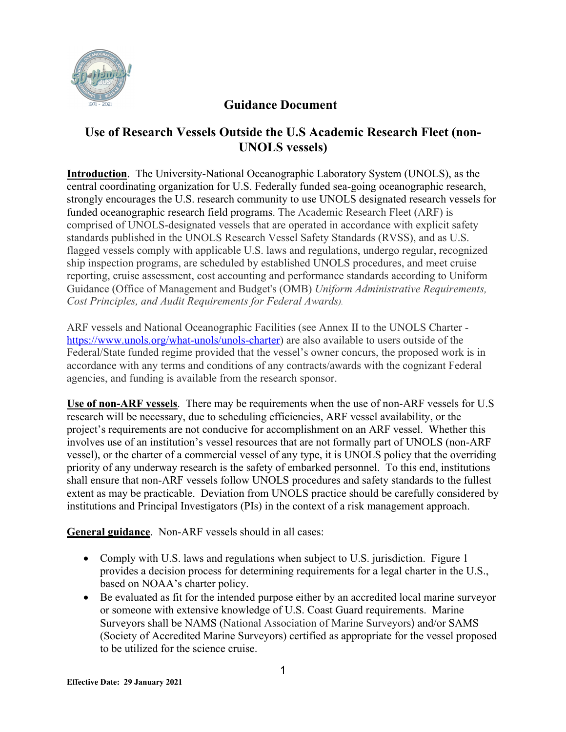

## **Guidance Document**

## **Use of Research Vessels Outside the U.S Academic Research Fleet (non-UNOLS vessels)**

**Introduction**. The University-National Oceanographic Laboratory System (UNOLS), as the central coordinating organization for U.S. Federally funded sea-going oceanographic research, strongly encourages the U.S. research community to use UNOLS designated research vessels for funded oceanographic research field programs. The Academic Research Fleet (ARF) is comprised of UNOLS-designated vessels that are operated in accordance with explicit safety standards published in the UNOLS Research Vessel Safety Standards (RVSS), and as U.S. flagged vessels comply with applicable U.S. laws and regulations, undergo regular, recognized ship inspection programs, are scheduled by established UNOLS procedures, and meet cruise reporting, cruise assessment, cost accounting and performance standards according to Uniform Guidance (Office of Management and Budget's (OMB) *Uniform Administrative Requirements, Cost Principles, and Audit Requirements for Federal Awards).* 

ARF vessels and National Oceanographic Facilities (see Annex II to the UNOLS Charter https://www.unols.org/what-unols/unols-charter) are also available to users outside of the Federal/State funded regime provided that the vessel's owner concurs, the proposed work is in accordance with any terms and conditions of any contracts/awards with the cognizant Federal agencies, and funding is available from the research sponsor.

**Use of non-ARF vessels**. There may be requirements when the use of non-ARF vessels for U.S research will be necessary, due to scheduling efficiencies, ARF vessel availability, or the project's requirements are not conducive for accomplishment on an ARF vessel. Whether this involves use of an institution's vessel resources that are not formally part of UNOLS (non-ARF vessel), or the charter of a commercial vessel of any type, it is UNOLS policy that the overriding priority of any underway research is the safety of embarked personnel. To this end, institutions shall ensure that non-ARF vessels follow UNOLS procedures and safety standards to the fullest extent as may be practicable. Deviation from UNOLS practice should be carefully considered by institutions and Principal Investigators (PIs) in the context of a risk management approach.

**General guidance**. Non-ARF vessels should in all cases:

- Comply with U.S. laws and regulations when subject to U.S. jurisdiction. Figure 1 provides a decision process for determining requirements for a legal charter in the U.S., based on NOAA's charter policy.
- Be evaluated as fit for the intended purpose either by an accredited local marine surveyor or someone with extensive knowledge of U.S. Coast Guard requirements. Marine Surveyors shall be NAMS (National Association of Marine Surveyors) and/or SAMS (Society of Accredited Marine Surveyors) certified as appropriate for the vessel proposed to be utilized for the science cruise.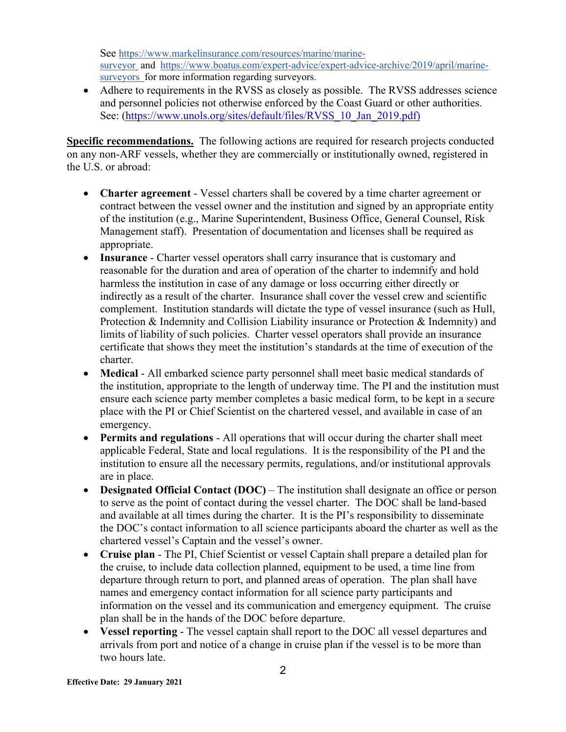See https://www.markelinsurance.com/resources/marine/marinesurveyor and https://www.boatus.com/expert-advice/expert-advice-archive/2019/april/marinesurveyors for more information regarding surveyors.

• Adhere to requirements in the RVSS as closely as possible. The RVSS addresses science and personnel policies not otherwise enforced by the Coast Guard or other authorities. See: (https://www.unols.org/sites/default/files/RVSS\_10\_Jan\_2019.pdf)

**Specific recommendations.** The following actions are required for research projects conducted on any non-ARF vessels, whether they are commercially or institutionally owned, registered in the U.S. or abroad:

- **Charter agreement** Vessel charters shall be covered by a time charter agreement or contract between the vessel owner and the institution and signed by an appropriate entity of the institution (e.g., Marine Superintendent, Business Office, General Counsel, Risk Management staff). Presentation of documentation and licenses shall be required as appropriate.
- **Insurance** Charter vessel operators shall carry insurance that is customary and reasonable for the duration and area of operation of the charter to indemnify and hold harmless the institution in case of any damage or loss occurring either directly or indirectly as a result of the charter. Insurance shall cover the vessel crew and scientific complement. Institution standards will dictate the type of vessel insurance (such as Hull, Protection & Indemnity and Collision Liability insurance or Protection & Indemnity) and limits of liability of such policies. Charter vessel operators shall provide an insurance certificate that shows they meet the institution's standards at the time of execution of the charter.
- **Medical** All embarked science party personnel shall meet basic medical standards of the institution, appropriate to the length of underway time. The PI and the institution must ensure each science party member completes a basic medical form, to be kept in a secure place with the PI or Chief Scientist on the chartered vessel, and available in case of an emergency.
- **Permits and regulations** All operations that will occur during the charter shall meet applicable Federal, State and local regulations. It is the responsibility of the PI and the institution to ensure all the necessary permits, regulations, and/or institutional approvals are in place.
- **Designated Official Contact (DOC)** The institution shall designate an office or person to serve as the point of contact during the vessel charter. The DOC shall be land-based and available at all times during the charter. It is the PI's responsibility to disseminate the DOC's contact information to all science participants aboard the charter as well as the chartered vessel's Captain and the vessel's owner.
- **Cruise plan** The PI, Chief Scientist or vessel Captain shall prepare a detailed plan for the cruise, to include data collection planned, equipment to be used, a time line from departure through return to port, and planned areas of operation. The plan shall have names and emergency contact information for all science party participants and information on the vessel and its communication and emergency equipment. The cruise plan shall be in the hands of the DOC before departure.
- **Vessel reporting** The vessel captain shall report to the DOC all vessel departures and arrivals from port and notice of a change in cruise plan if the vessel is to be more than two hours late.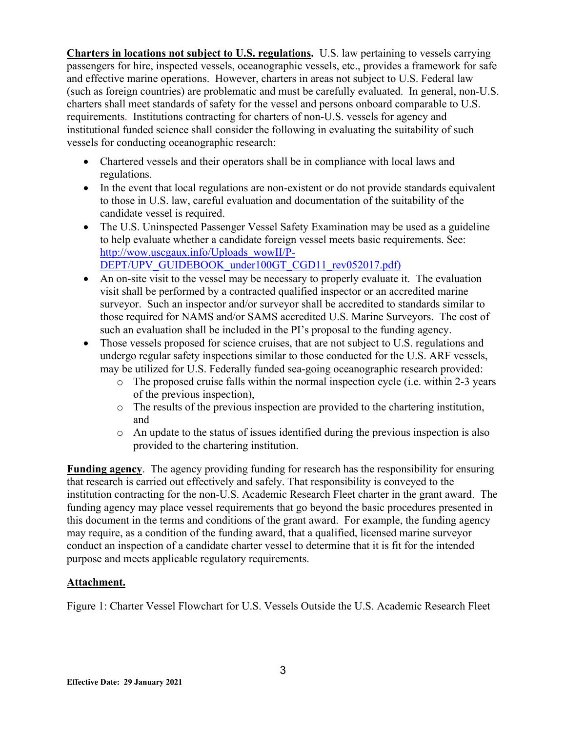**Charters in locations not subject to U.S. regulations.** U.S. law pertaining to vessels carrying passengers for hire, inspected vessels, oceanographic vessels, etc., provides a framework for safe and effective marine operations. However, charters in areas not subject to U.S. Federal law (such as foreign countries) are problematic and must be carefully evaluated. In general, non-U.S. charters shall meet standards of safety for the vessel and persons onboard comparable to U.S. requirements. Institutions contracting for charters of non-U.S. vessels for agency and institutional funded science shall consider the following in evaluating the suitability of such vessels for conducting oceanographic research:

- Chartered vessels and their operators shall be in compliance with local laws and regulations.
- In the event that local regulations are non-existent or do not provide standards equivalent to those in U.S. law, careful evaluation and documentation of the suitability of the candidate vessel is required.
- The U.S. Uninspected Passenger Vessel Safety Examination may be used as a guideline to help evaluate whether a candidate foreign vessel meets basic requirements. See: http://wow.uscgaux.info/Uploads\_wowII/P-DEPT/UPV\_GUIDEBOOK\_under100GT\_CGD11\_rev052017.pdf)
- An on-site visit to the vessel may be necessary to properly evaluate it. The evaluation visit shall be performed by a contracted qualified inspector or an accredited marine surveyor. Such an inspector and/or surveyor shall be accredited to standards similar to those required for NAMS and/or SAMS accredited U.S. Marine Surveyors. The cost of such an evaluation shall be included in the PI's proposal to the funding agency.
- Those vessels proposed for science cruises, that are not subject to U.S. regulations and undergo regular safety inspections similar to those conducted for the U.S. ARF vessels, may be utilized for U.S. Federally funded sea-going oceanographic research provided:
	- o The proposed cruise falls within the normal inspection cycle (i.e. within 2-3 years of the previous inspection),
	- o The results of the previous inspection are provided to the chartering institution, and
	- o An update to the status of issues identified during the previous inspection is also provided to the chartering institution.

**Funding agency**. The agency providing funding for research has the responsibility for ensuring that research is carried out effectively and safely. That responsibility is conveyed to the institution contracting for the non-U.S. Academic Research Fleet charter in the grant award. The funding agency may place vessel requirements that go beyond the basic procedures presented in this document in the terms and conditions of the grant award. For example, the funding agency may require, as a condition of the funding award, that a qualified, licensed marine surveyor conduct an inspection of a candidate charter vessel to determine that it is fit for the intended purpose and meets applicable regulatory requirements.

## **Attachment.**

Figure 1: Charter Vessel Flowchart for U.S. Vessels Outside the U.S. Academic Research Fleet